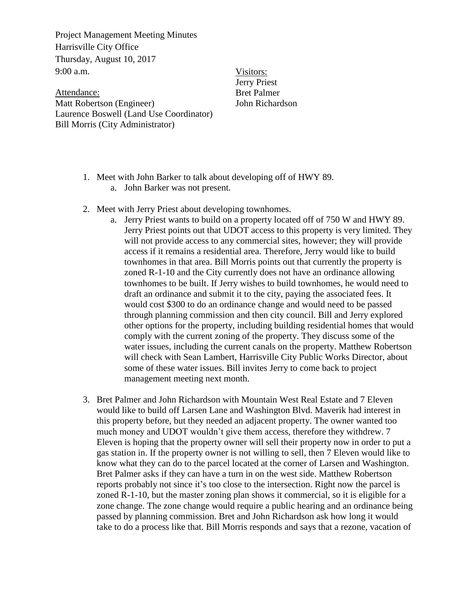Project Management Meeting Minutes Harrisville City Office Thursday, August 10, 2017  $9:00$  a.m.

Attendance: Matt Robertson (Engineer) Laurence Boswell (Land Use Coordinator) Bill Morris (City Administrator)

Visitors: Jerry Priest Bret Palmer John Richardson

- 1. Meet with John Barker to talk about developing off of HWY 89.
	- a. John Barker was not present.
- 2. Meet with Jerry Priest about developing townhomes.
	- a. Jerry Priest wants to build on a property located off of 750 W and HWY 89. Jerry Priest points out that UDOT access to this property is very limited. They will not provide access to any commercial sites, however; they will provide access if it remains a residential area. Therefore, Jerry would like to build townhomes in that area. Bill Morris points out that currently the property is zoned R-1-10 and the City currently does not have an ordinance allowing townhomes to be built. If Jerry wishes to build townhomes, he would need to draft an ordinance and submit it to the city, paying the associated fees. It would cost \$300 to do an ordinance change and would need to be passed through planning commission and then city council. Bill and Jerry explored other options for the property, including building residential homes that would comply with the current zoning of the property. They discuss some of the water issues, including the current canals on the property. Matthew Robertson will check with Sean Lambert, Harrisville City Public Works Director, about some of these water issues. Bill invites Jerry to come back to project management meeting next month.
- 3. Bret Palmer and John Richardson with Mountain West Real Estate and 7 Eleven would like to build off Larsen Lane and Washington Blvd. Maverik had interest in this property before, but they needed an adjacent property. The owner wanted too much money and UDOT wouldn't give them access, therefore they withdrew. 7 Eleven is hoping that the property owner will sell their property now in order to put a gas station in. If the property owner is not willing to sell, then 7 Eleven would like to know what they can do to the parcel located at the corner of Larsen and Washington. Bret Palmer asks if they can have a turn in on the west side. Matthew Robertson reports probably not since it's too close to the intersection. Right now the parcel is zoned R-1-10, but the master zoning plan shows it commercial, so it is eligible for a zone change. The zone change would require a public hearing and an ordinance being passed by planning commission. Bret and John Richardson ask how long it would take to do a process like that. Bill Morris responds and says that a rezone, vacation of